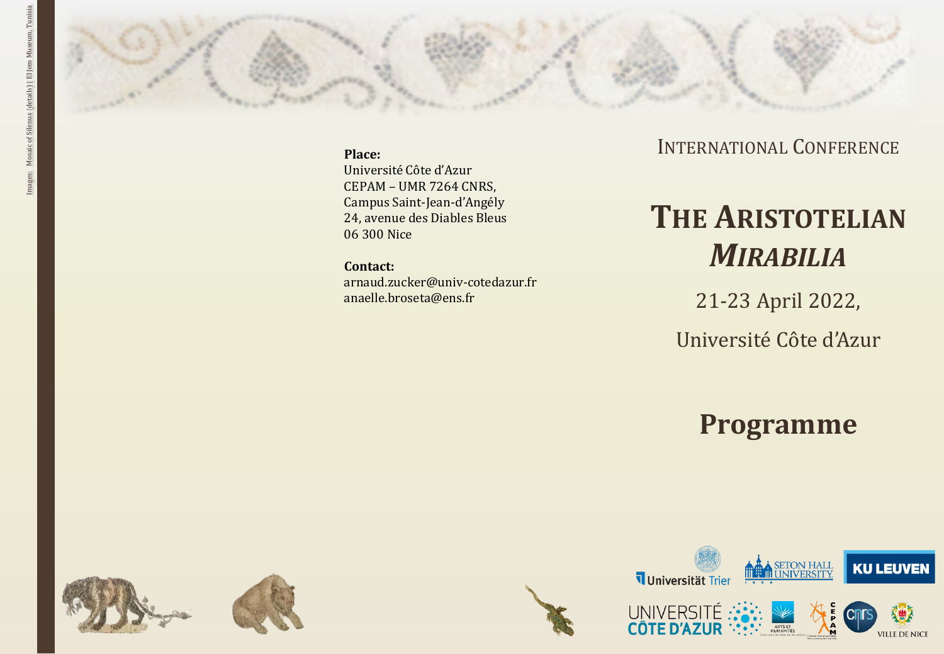

**Place:**

Université Côte d'Azur CEPAM – UMR 7264 CNRS, Campus Saint -Jean -d'Angély 24, avenue des Diables Bleus 06 300 Nice

**Contact:**

arnaud.zucker@univ -cotedazur.fr anaelle.broseta@ens.fr

## INTERNATIONAL CONFERENCE

# **THE ARISTOTELIAN** *MIRABILIA*

21 -23 April 2022,

Université Côte d'Azur

## **Programme**